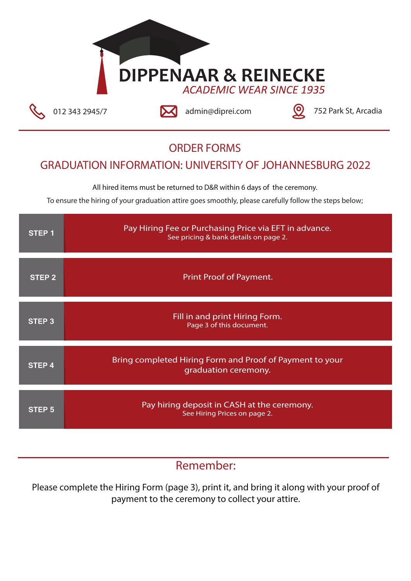# **DIPPENAAR & REINECKE**

012 343 2945/7 **120 admin@diprei.com** 12 343 2945/7

#### **ORDER FORMS**

#### **GRADUATION INFORMATION: UNIVERSITY OF JOHANNESBURG 2022**

**All hired items must be returned to D&R within 6 days of the ceremony.**

To ensure the hiring of your graduation attire goes smoothly, please carefully follow the steps below;

| STEP 1            | Pay Hiring Fee or Purchasing Price via EFT in advance.<br>See pricing & bank details on page 2. |
|-------------------|-------------------------------------------------------------------------------------------------|
| <b>STEP 2</b>     | Print Proof of Payment.                                                                         |
| STEP 3            | Fill in and print Hiring Form.<br>Page 3 of this document.                                      |
| STEP 4            | Bring completed Hiring Form and Proof of Payment to your<br>graduation ceremony.                |
| STEP <sub>5</sub> | Pay hiring deposit in CASH at the ceremony.<br>See Hiring Prices on page 2.                     |

### **Remember:**

Please complete the Hiring Form (page 3), print it, and bring it along with your proof of payment to the ceremony to collect your attire.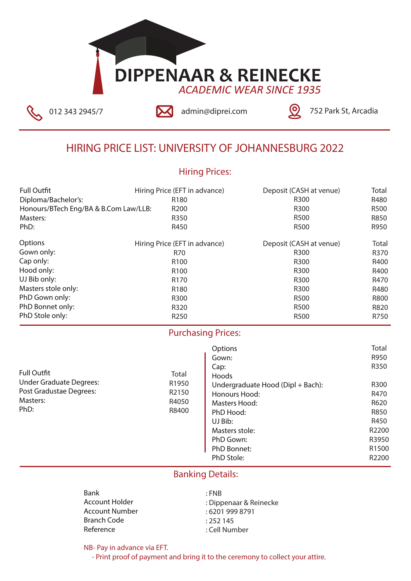## **DIPPENAAR & REINECKE ACADEMIC WEAR SINCE 1935**



012 343 2945/7 **12 2012 admin@diprei.com** 12 343 2945/7

#### **HIRING PRICE LIST: UNIVERSITY OF JOHANNESBURG 2022**

#### **Hiring Prices:**

| <b>Full Outfit</b>                    | Hiring Price (EFT in advance) | Deposit (CASH at venue) | Total       |
|---------------------------------------|-------------------------------|-------------------------|-------------|
| Diploma/Bachelor's:                   | R <sub>180</sub>              | R <sub>300</sub>        | R480        |
| Honours/BTech Eng/BA & B.Com Law/LLB: | R <sub>200</sub>              | R300                    | R500        |
| Masters:                              | R350                          | R500                    | R850        |
| PhD:                                  | R450                          | R500                    | R950        |
| Options                               | Hiring Price (EFT in advance) | Deposit (CASH at venue) | Total       |
| Gown only:                            | R70                           | R300                    | R370        |
| Cap only:                             | R <sub>100</sub>              | R300                    | R400        |
| Hood only:                            | R <sub>100</sub>              | R300                    | R400        |
| UJ Bib only:                          | R <sub>170</sub>              | R300                    | R470        |
| Masters stole only:                   | R <sub>180</sub>              | R300                    | R480        |
| PhD Gown only:                        | R300                          | R500                    | <b>R800</b> |
| PhD Bonnet only:                      | R320                          | R500                    | R820        |
| PhD Stole only:                       | R <sub>250</sub>              | R500                    | R750        |

#### **Purchasing Prices:**

**Total** R1950 R2150 R4050 R8400

| <b>Full Outfit</b>             |
|--------------------------------|
| <b>Under Graduate Degrees:</b> |
| Post Gradustae Degrees:        |
| Masters:                       |
| PhD:                           |

#### **Options** Gown: Cap: Hoods Undergraduate Hood (Dipl + Bach): Honours Hood: Masters Hood: PhD Hood: UJ Bib: Masters stole: PhD Gown: PhD Bonnet: PhD Stole: **Total** R950 R350 R300 R470 R620 R850 R450 R2200 R3950 R1500 R2200

#### **Banking Details:**

Bank Account Holder Account Number Branch Code Reference : FNB : Dippenaar & Reinecke : 6201 999 8791 : 252 145 : Cell Number

**NB- Pay in advance via EFT.**

 **- Print proof of payment and bring it to the ceremony to collect your attire.**